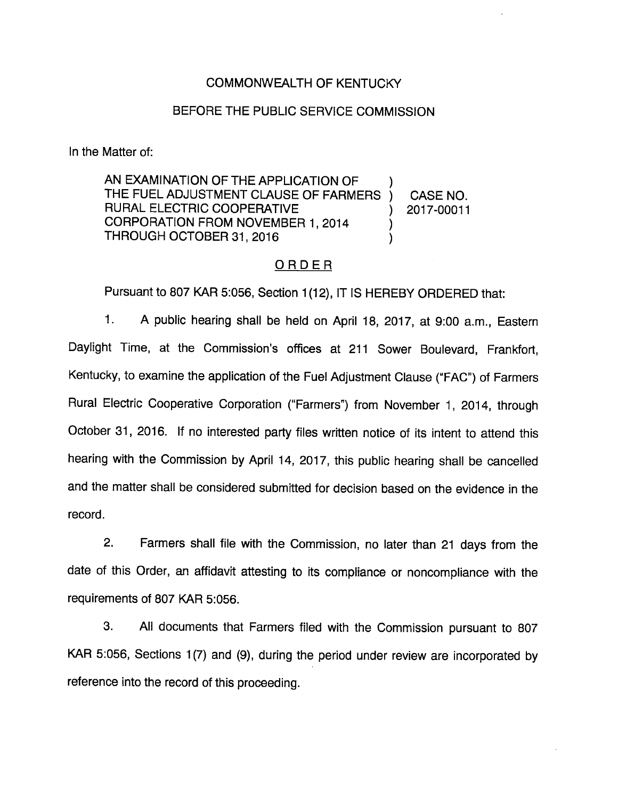## COMMONWEALTH OF KENTUCKY

#### BEFORE THE PUBLIC SERVICE COMMISSION

In the Matter of:

AN EXAMINATION OF THE APPLICATION OF THE FUEL ADJUSTMENT CLAUSE OF FARMERS ) CASE NO. RURAL ELECTRIC COOPERATIVE (2017-00011 CORPORATION FROM NOVEMBER 1, 2014 THROUGH OCTOBER 31, 2016

## ORDER

Pursuant to 807 KAR 5:056, Section 1(12), IT IS HEREBY ORDERED that:

1. A public hearing shall be held on April 18, 2017, at 9:00 a.m.. Eastern Daylight Time, at the Commission's offices at 211 Sower Boulevard, Frankfort, Kentucky, to examine the application of the Fuel Adjustment Clause ("FAC") of Farmers Rural Electric Cooperative Corporation ("Farmers") from November 1, 2014, through October 31, 2016. If no interested party files written notice of its intent to attend this hearing with the Commission by April 14, 2017, this public hearing shall be cancelled and the matter shall be considered submitted for decision based on the evidence in the record.

2. Farmers shall file with the Commission, no later than 21 days from the date of this Order, an affidavit attesting to its compliance or noncompliance with the requirements of 807 KAR 5:056.

3. All documents that Farmers filed with the Commission pursuant to 807 KAR 5:056, Sections 1(7) and (9), during the period under review are incorporated by reference into the record of this proceeding.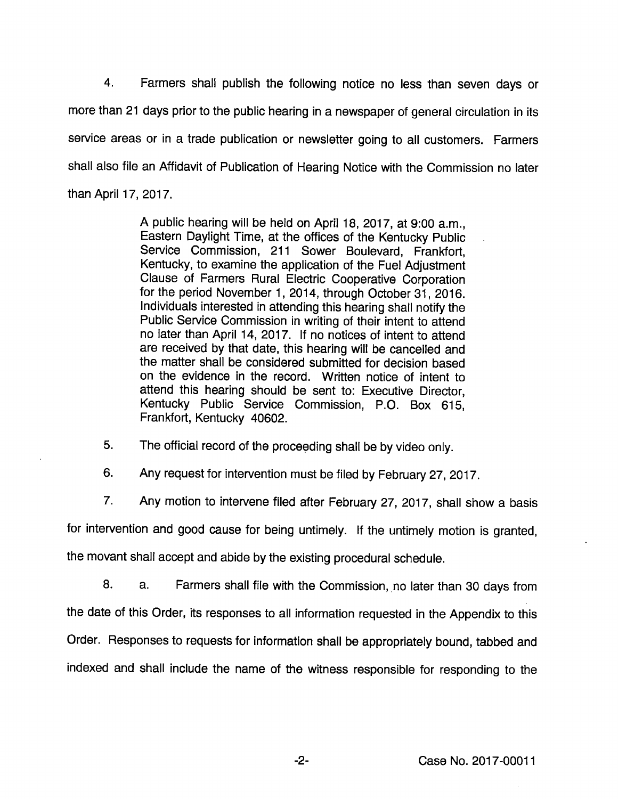4. Farmers shall publish the following notice no less than seven days or more than 21 days prior to the public hearing in a newspaper of general circulation in its service areas or in a trade publication or newsletter going to all customers. Farmers shall also file an Affidavit of Publication of Hearing Notice with the Commission no later than April 17, 2017.

> A public hearing will be held on April 18, 2017, at 9:00 a.m.. Eastern Daylight Time, at the offices of the Kentucky Public Service Commission, 211 Sower Boulevard, Frankfort, Kentucky, to examine the application of the Fuel Adjustment Clause of Farmers Rural Electric Cooperative Corporation for the period November 1, 2014, through October 31, 2016. Individuals interested in attending this hearing shall notify the Public Service Commission in writing of their intent to attend no later than April 14, 2017. If no notices of intent to attend are received by that date, this hearing will be cancelled and the matter shall be considered submitted for decision based on the evidence in the record. Written notice of intent to attend this hearing should be sent to: Executive Director, Kentucky Public Service Commission, P.O. Box 615, Frankfort, Kentucky 40602.

5. The official record of the proceeding shall be by video only.

6. Any request for intervention must be filed by February 27, 2017.

7. Any motion to intervene filed after February 27, 2017, shall show a basis

for intervention and good cause for being untimely. If the untimely motion is granted,

the movant shall accept and abide by the existing procedural schedule.

8. a. Farmers shall file with the Commission, no later than 30 days from the date of this Order, its responses to all information requested in the Appendix to this Order. Responses to requests for information shall be appropriately bound, tabbed and indexed and shall include the name of the witness responsible for responding to the

 $-2-$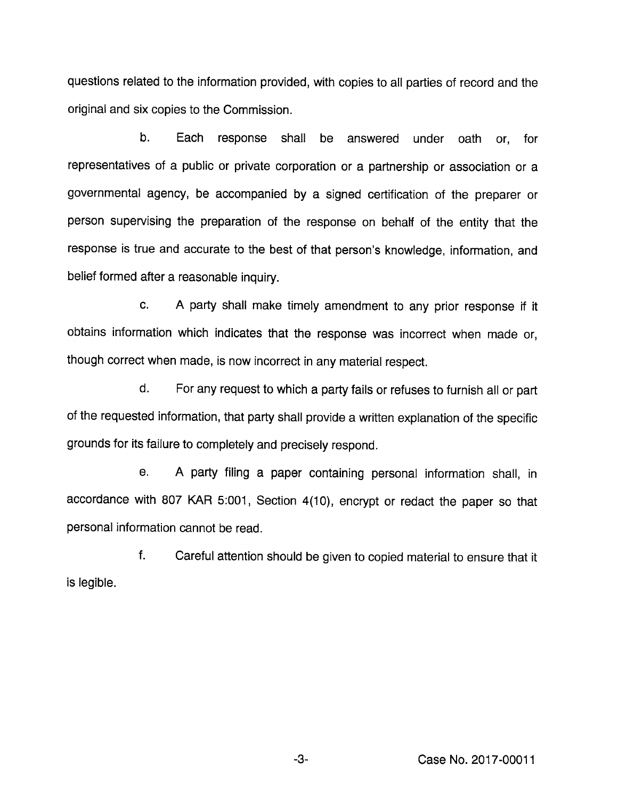questions related to the information provided, with copies to all parties of record and the original and six copies to the Commission.

b. Each response shall be answered under oath or, for representatives of a public or private corporation or a partnership or association or a governmental agency, be accompanied by a signed certification of the preparer or person supervising the preparation of the response on behatf of the entity that the response is true and accurate to the best of that person's knowledge, information, and belief formed after a reasonable inquiry.

c. A party shall make timely amendment to any prior response if it obtains information which indicates that the response was incorrect when made or, though correct when made, is now incorrect in any material respect.

d. Forany request to which a partyfails or refuses to furnish all or part of the requested information, that party shall provide a written explanation of the specific grounds for its failure to completely and precisely respond.

e. A party filing a paper containing personal information shall, in accordance with 807 KAR 5:001, Section 4(10), encrypt or redact the paper so that personal information cannot be read.

f. Careful attention should be given to copied material to ensure that it is legible.

-3-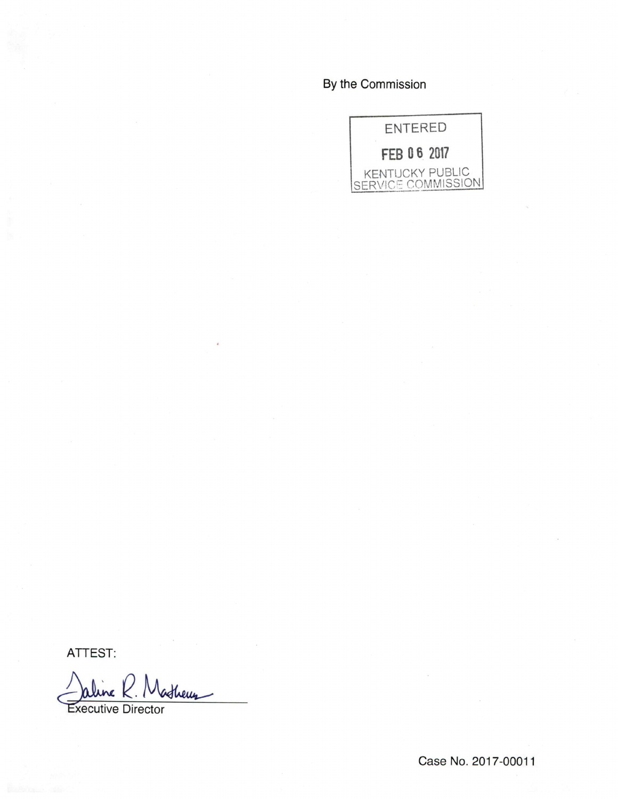By the Commission



ATTEST:

<u>Jaline K. Mathews</u> re

Case No. 2017-00011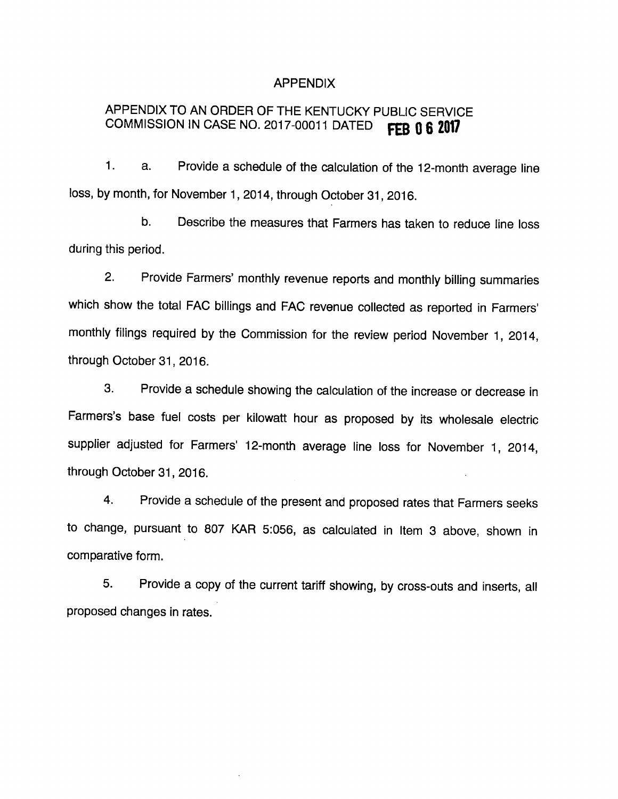#### APPENDIX

# APPENDIX TO AN ORDER OF THE KENTUCKY PUBLIC SERVICE COMMISSION IN CASE NO. 2017-00011 DATED **FEB 0 6 2017**

1. a. Provide a schedule of the calculation of the 12-month average line loss, by month, for November 1, 2014, through October 31, 2016.

b. Describe the measures that Farmers has taken to reduce line loss during this period.

2. Provide Farmers' monthly revenue reports and monthly billing summaries which show the total FAC billings and FAC revenue collected as reported in Farmers' monthly filings required by the Commission for the review period November 1, 2014, through October 31, 2016.

3. Provide a schedule showing the calculation of the increase or decrease in Farmers's base fuel costs per kilowatt hour as proposed by its wholesale electric supplier adjusted for Farmers' 12-month average line loss for November 1, 2014, through October 31, 2016.

4. Provide a schedule of the present and proposed rates that Farmers seeks to change, pursuant to 807 KAR 5:056, as calculated in Item 3 above, shown in comparative form.

5. Provide a copy of the current tariff showing, by cross-outs and inserts, all proposed changes in rates.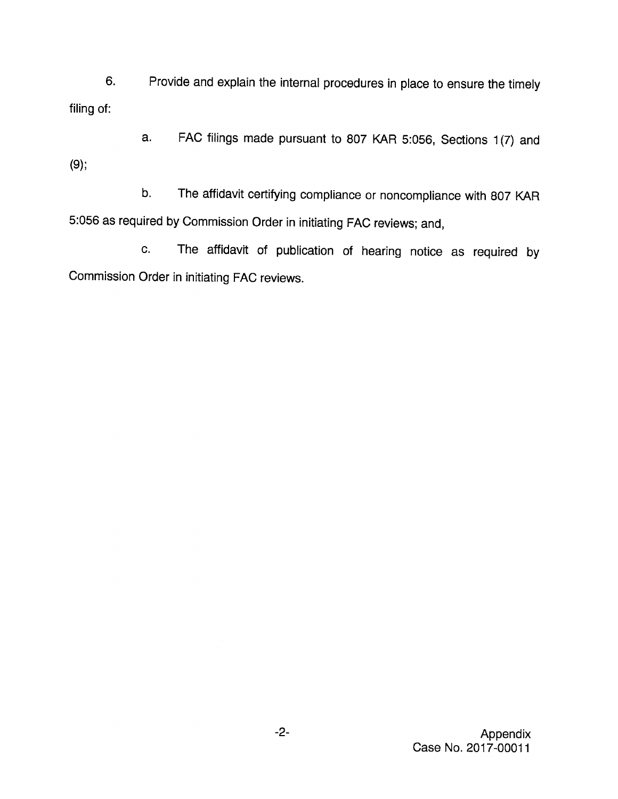6. Provide and explain the internal procedures in place to ensure the timely filing of:

a. FAC filings made pursuant to 807 KAR 5:056, Sections 1(7) and (9):

b. The affidavit certifying compliance or noncompliance with 807 KAR 5:056 as required by Commission Order in initiating FAC reviews; and,

c. The affidavit of publication of hearing notice as required by Commission Order in initiating FAC reviews.